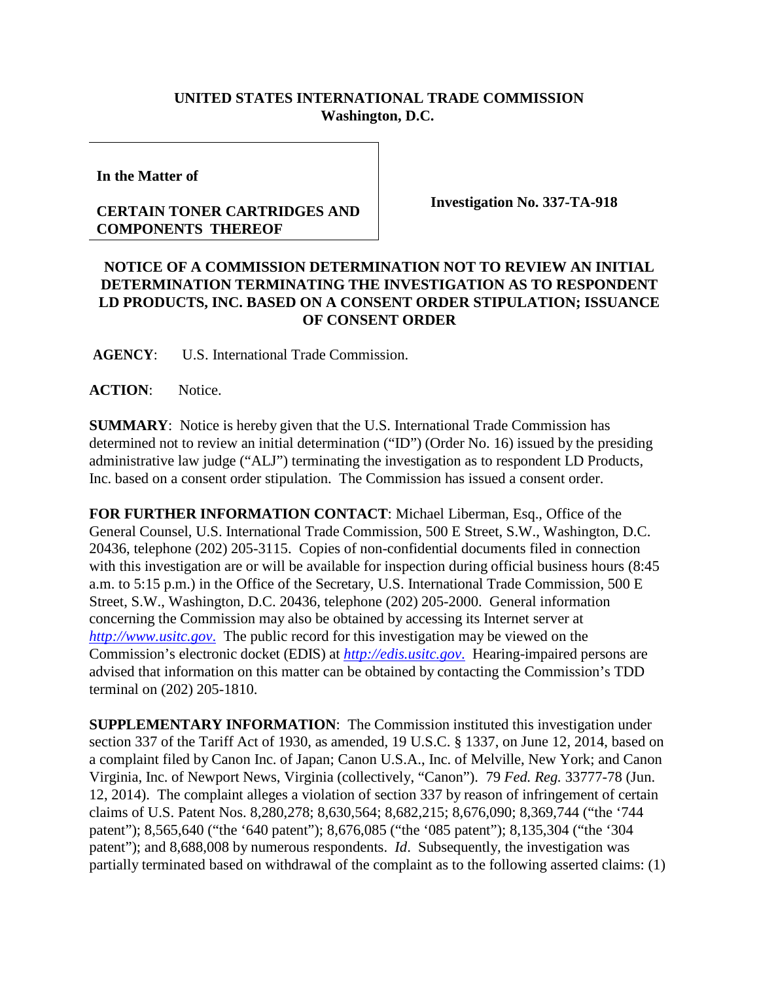## **UNITED STATES INTERNATIONAL TRADE COMMISSION Washington, D.C.**

**In the Matter of**

## **CERTAIN TONER CARTRIDGES AND COMPONENTS THEREOF**

**Investigation No. 337-TA-918**

## **NOTICE OF A COMMISSION DETERMINATION NOT TO REVIEW AN INITIAL DETERMINATION TERMINATING THE INVESTIGATION AS TO RESPONDENT LD PRODUCTS, INC. BASED ON A CONSENT ORDER STIPULATION; ISSUANCE OF CONSENT ORDER**

**AGENCY**: U.S. International Trade Commission.

**ACTION**: Notice.

**SUMMARY**: Notice is hereby given that the U.S. International Trade Commission has determined not to review an initial determination ("ID") (Order No. 16) issued by the presiding administrative law judge ("ALJ") terminating the investigation as to respondent LD Products, Inc. based on a consent order stipulation. The Commission has issued a consent order.

**FOR FURTHER INFORMATION CONTACT**: Michael Liberman, Esq., Office of the General Counsel, U.S. International Trade Commission, 500 E Street, S.W., Washington, D.C. 20436, telephone (202) 205-3115. Copies of non-confidential documents filed in connection with this investigation are or will be available for inspection during official business hours (8:45 a.m. to 5:15 p.m.) in the Office of the Secretary, U.S. International Trade Commission, 500 E Street, S.W., Washington, D.C. 20436, telephone (202) 205-2000. General information concerning the Commission may also be obtained by accessing its Internet server at *[http://www.usitc.gov](http://www.usitc.gov./)*. The public record for this investigation may be viewed on the Commission's electronic docket (EDIS) at *[http://edis.usitc.gov](http://edis.usitc.gov./)*. Hearing-impaired persons are advised that information on this matter can be obtained by contacting the Commission's TDD terminal on (202) 205-1810.

**SUPPLEMENTARY INFORMATION**: The Commission instituted this investigation under section 337 of the Tariff Act of 1930, as amended, 19 U.S.C. § 1337, on June 12, 2014, based on a complaint filed by Canon Inc. of Japan; Canon U.S.A., Inc. of Melville, New York; and Canon Virginia, Inc. of Newport News, Virginia (collectively, "Canon"). 79 *Fed. Reg.* 33777-78 (Jun. 12, 2014). The complaint alleges a violation of section 337 by reason of infringement of certain claims of U.S. Patent Nos. 8,280,278; 8,630,564; 8,682,215; 8,676,090; 8,369,744 ("the '744 patent"); 8,565,640 ("the '640 patent"); 8,676,085 ("the '085 patent"); 8,135,304 ("the '304 patent"); and 8,688,008 by numerous respondents. *Id*. Subsequently, the investigation was partially terminated based on withdrawal of the complaint as to the following asserted claims: (1)